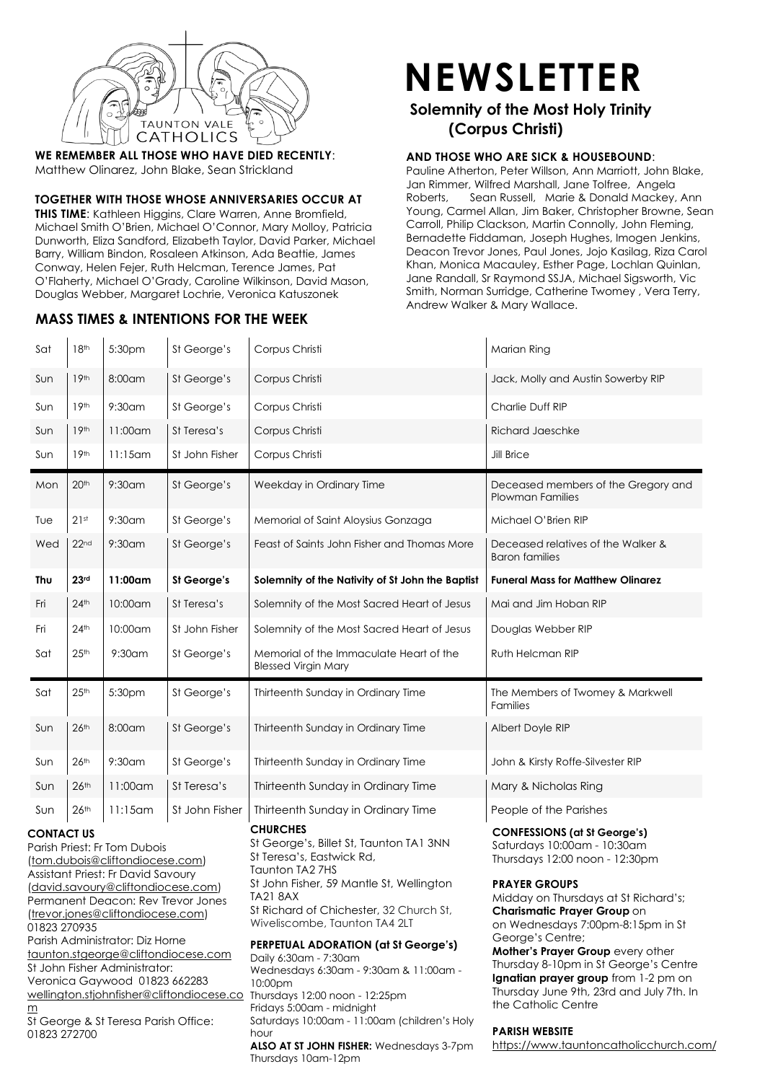

**WE REMEMBER ALL THOSE WHO HAVE DIED RECENTLY**: Matthew Olinarez, John Blake, Sean Strickland

#### **TOGETHER WITH THOSE WHOSE ANNIVERSARIES OCCUR AT**

**THIS TIME**: Kathleen Higgins, Clare Warren, Anne Bromfield, Michael Smith O'Brien, Michael O'Connor, Mary Molloy, Patricia Dunworth, Eliza Sandford, Elizabeth Taylor, David Parker, Michael Barry, William Bindon, Rosaleen Atkinson, Ada Beattie, James Conway, Helen Fejer, Ruth Helcman, Terence James, Pat O'Flaherty, Michael O'Grady, Caroline Wilkinson, David Mason, Douglas Webber, Margaret Lochrie, Veronica Katuszonek

## **MASS TIMES & INTENTIONS FOR THE WEEK**

# **NEWSLETTER**

## **Solemnity of the Most Holy Trinity (Corpus Christi)**

#### **AND THOSE WHO ARE SICK & HOUSEBOUND**:

Pauline Atherton, Peter Willson, Ann Marriott, John Blake, Jan Rimmer, Wilfred Marshall, Jane Tolfree, Angela Roberts, Sean Russell, Marie & Donald Mackey, Ann Young, Carmel Allan, Jim Baker, Christopher Browne, Sean Carroll, Philip Clackson, Martin Connolly, John Fleming, Bernadette Fiddaman, Joseph Hughes, Imogen Jenkins, Deacon Trevor Jones, Paul Jones, Jojo Kasilag, Riza Carol Khan, Monica Macauley, Esther Page, Lochlan Quinlan, Jane Randall, Sr Raymond SSJA, Michael Sigsworth, Vic Smith, Norman Surridge, Catherine Twomey , Vera Terry, Andrew Walker & Mary Wallace.

| Sat                                                                                                                                                                                                                                                                                      | 18 <sup>th</sup>   | 5:30pm     | St George's    | Corpus Christi                                                                                                                                                                                                                                                                    | Marian Ring                                                                                                                                                                                                                                                                  |
|------------------------------------------------------------------------------------------------------------------------------------------------------------------------------------------------------------------------------------------------------------------------------------------|--------------------|------------|----------------|-----------------------------------------------------------------------------------------------------------------------------------------------------------------------------------------------------------------------------------------------------------------------------------|------------------------------------------------------------------------------------------------------------------------------------------------------------------------------------------------------------------------------------------------------------------------------|
| Sun                                                                                                                                                                                                                                                                                      | 19 <sup>th</sup>   | 8:00am     | St George's    | Corpus Christi                                                                                                                                                                                                                                                                    | Jack, Molly and Austin Sowerby RIP                                                                                                                                                                                                                                           |
| Sun                                                                                                                                                                                                                                                                                      | 19 <sup>th</sup>   | $9:30$ am  | St George's    | Corpus Christi                                                                                                                                                                                                                                                                    | Charlie Duff RIP                                                                                                                                                                                                                                                             |
| Sun                                                                                                                                                                                                                                                                                      | 19 <sup>th</sup>   | 11:00am    | St Teresa's    | Corpus Christi                                                                                                                                                                                                                                                                    | <b>Richard Jaeschke</b>                                                                                                                                                                                                                                                      |
| Sun                                                                                                                                                                                                                                                                                      | 19 <sup>th</sup>   | $11:15$ am | St John Fisher | Corpus Christi                                                                                                                                                                                                                                                                    | Jill Brice                                                                                                                                                                                                                                                                   |
| Mon                                                                                                                                                                                                                                                                                      | 20 <sup>th</sup>   | $9:30$ am  | St George's    | Weekday in Ordinary Time                                                                                                                                                                                                                                                          | Deceased members of the Gregory and<br><b>Plowman Families</b>                                                                                                                                                                                                               |
| Tue                                                                                                                                                                                                                                                                                      | 21st               | $9:30$ am  | St George's    | Memorial of Saint Aloysius Gonzaga                                                                                                                                                                                                                                                | Michael O'Brien RIP                                                                                                                                                                                                                                                          |
| Wed                                                                                                                                                                                                                                                                                      | 22 <sub>nd</sub>   | $9:30$ am  | St George's    | Feast of Saints John Fisher and Thomas More                                                                                                                                                                                                                                       | Deceased relatives of the Walker &<br><b>Baron families</b>                                                                                                                                                                                                                  |
| Thu                                                                                                                                                                                                                                                                                      | 23 <sup>rd</sup>   | 11:00am    | St George's    | Solemnity of the Nativity of St John the Baptist                                                                                                                                                                                                                                  | <b>Funeral Mass for Matthew Olinarez</b>                                                                                                                                                                                                                                     |
| Fri                                                                                                                                                                                                                                                                                      | $24$ <sup>th</sup> | 10:00am    | St Teresa's    | Solemnity of the Most Sacred Heart of Jesus                                                                                                                                                                                                                                       | Mai and Jim Hoban RIP                                                                                                                                                                                                                                                        |
| Fri                                                                                                                                                                                                                                                                                      | $24$ <sup>th</sup> | 10:00am    | St John Fisher | Solemnity of the Most Sacred Heart of Jesus                                                                                                                                                                                                                                       | Douglas Webber RIP                                                                                                                                                                                                                                                           |
| Sat                                                                                                                                                                                                                                                                                      | 25 <sup>th</sup>   | $9:30$ am  | St George's    | Memorial of the Immaculate Heart of the<br><b>Blessed Virgin Mary</b>                                                                                                                                                                                                             | Ruth Helcman RIP                                                                                                                                                                                                                                                             |
| Sat                                                                                                                                                                                                                                                                                      | 25 <sup>th</sup>   | 5:30pm     | St George's    | Thirteenth Sunday in Ordinary Time                                                                                                                                                                                                                                                | The Members of Twomey & Markwell<br><b>Families</b>                                                                                                                                                                                                                          |
| Sun                                                                                                                                                                                                                                                                                      | 26 <sup>th</sup>   | 8:00am     | St George's    | Thirteenth Sunday in Ordinary Time                                                                                                                                                                                                                                                | Albert Doyle RIP                                                                                                                                                                                                                                                             |
| Sun                                                                                                                                                                                                                                                                                      | 26 <sup>th</sup>   | $9:30$ am  | St George's    | Thirteenth Sunday in Ordinary Time                                                                                                                                                                                                                                                | John & Kirsty Roffe-Silvester RIP                                                                                                                                                                                                                                            |
| Sun                                                                                                                                                                                                                                                                                      | 26 <sup>th</sup>   | 11:00am    | St Teresa's    | Thirteenth Sunday in Ordinary Time                                                                                                                                                                                                                                                | Mary & Nicholas Ring                                                                                                                                                                                                                                                         |
| Sun                                                                                                                                                                                                                                                                                      | 26 <sup>th</sup>   | $11:15$ am | St John Fisher | Thirteenth Sunday in Ordinary Time                                                                                                                                                                                                                                                | People of the Parishes                                                                                                                                                                                                                                                       |
| <b>CONTACT US</b><br>Parish Priest: Fr Tom Dubois<br>(tom.dubois@cliftondiocese.com)<br>Assistant Priest: Fr David Savoury<br>(david.savoury@cliftondiocese.com)<br>Permanent Deacon: Rev Trevor Jones<br>(trevor.jones@cliftondiocese.com)<br>01823 270935                              |                    |            |                | <b>CHURCHES</b><br>St George's, Billet St, Taunton TA1 3NN<br>St Teresa's, Eastwick Rd,<br>Taunton TA2 7HS<br>St John Fisher, 59 Mantle St, Wellington<br><b>TA21 8AX</b><br>St Richard of Chichester, 32 Church St,<br>Wiveliscombe, Taunton TA4 2LT                             | <b>CONFESSIONS (at St George's)</b><br>Saturdays 10:00am - 10:30am<br>Thursdays 12:00 noon - 12:30pm<br><b>PRAYER GROUPS</b><br>Midday on Thursdays at St Richard's;<br><b>Charismatic Prayer Group on</b><br>on Wednesdays 7:00pm-8:15pm in St                              |
| Parish Administrator: Diz Horne<br>taunton.stgeorge@cliftondiocese.com<br>St John Fisher Administrator:<br>Veronica Gaywood 01823 662283<br>wellington.stjohnfisher@cliftondiocese.co Thursdays 12:00 noon - 12:25pm<br><u>m</u><br>St George & St Teresa Parish Office:<br>01823 272700 |                    |            |                | <b>PERPETUAL ADORATION (at St George's)</b><br>Daily 6:30am - 7:30am<br>Wednesdays 6:30am - 9:30am & 11:00am -<br>10:00pm<br>Fridays 5:00am - midnight<br>Saturdays 10:00am - 11:00am (children's Holy<br>hour<br>ALSO AT ST JOHN FISHER: Wednesdays 3-7pm<br>Thursdays 10am-12pm | George's Centre;<br>Mother's Prayer Group every other<br>Thursday 8-10pm in St George's Centre<br>Ignatian prayer group from 1-2 pm on<br>Thursday June 9th, 23rd and July 7th. In<br>the Catholic Centre<br><b>PARISH WEBSITE</b><br>https://www.tauntoncatholicchurch.com/ |